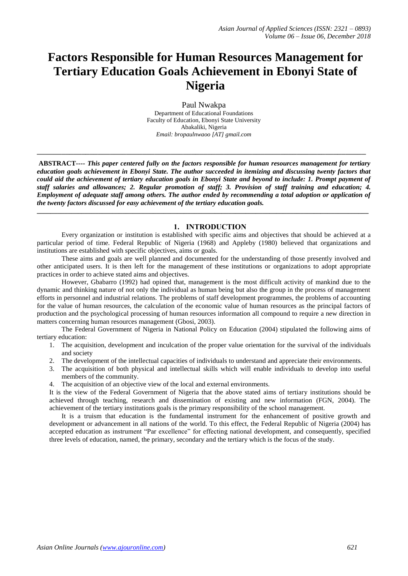# **Factors Responsible for Human Resources Management for Tertiary Education Goals Achievement in Ebonyi State of Nigeria**

Paul Nwakpa Department of Educational Foundations Faculty of Education, Ebonyi State University Abakaliki, Nigeria *Email: bropaulnwaoo [AT] gmail.com*

**\_\_\_\_\_\_\_\_\_\_\_\_\_\_\_\_\_\_\_\_\_\_\_\_\_\_\_\_\_\_\_\_\_\_\_\_\_\_\_\_\_\_\_\_\_\_\_\_\_\_\_\_\_\_\_\_\_\_\_\_\_\_\_\_\_\_\_\_\_\_\_\_\_\_\_\_\_\_\_\_\_**

**ABSTRACT----** *This paper centered fully on the factors responsible for human resources management for tertiary education goals achievement in Ebonyi State. The author succeeded in itemizing and discussing twenty factors that could aid the achievement of tertiary education goals in Ebonyi State and beyond to include: 1. Prompt payment of staff salaries and allowances; 2. Regular promotion of staff; 3. Provision of staff training and education; 4. Employment of adequate staff among others. The author ended by recommending a total adoption or application of the twenty factors discussed for easy achievement of the tertiary education goals.*

**\_\_\_\_\_\_\_\_\_\_\_\_\_\_\_\_\_\_\_\_\_\_\_\_\_\_\_\_\_\_\_\_\_\_\_\_\_\_\_\_\_\_\_\_\_\_\_\_\_\_\_\_\_\_\_\_\_\_\_\_\_\_\_\_\_\_\_\_\_\_\_\_\_\_\_\_\_\_\_\_\_\_\_\_\_\_\_\_\_\_\_\_\_\_\_\_\_**

# **1. INTRODUCTION**

Every organization or institution is established with specific aims and objectives that should be achieved at a particular period of time. Federal Republic of Nigeria (1968) and Appleby (1980) believed that organizations and institutions are established with specific objectives, aims or goals.

These aims and goals are well planned and documented for the understanding of those presently involved and other anticipated users. It is then left for the management of these institutions or organizations to adopt appropriate practices in order to achieve stated aims and objectives.

However, Gbabarro (1992) had opined that, management is the most difficult activity of mankind due to the dynamic and thinking nature of not only the individual as human being but also the group in the process of management efforts in personnel and industrial relations. The problems of staff development programmes, the problems of accounting for the value of human resources, the calculation of the economic value of human resources as the principal factors of production and the psychological processing of human resources information all compound to require a new direction in matters concerning human resources management (Gbosi, 2003).

The Federal Government of Nigeria in National Policy on Education (2004) stipulated the following aims of tertiary education:

- 1. The acquisition, development and inculcation of the proper value orientation for the survival of the individuals and society
- 2. The development of the intellectual capacities of individuals to understand and appreciate their environments.
- 3. The acquisition of both physical and intellectual skills which will enable individuals to develop into useful members of the community.
- 4. The acquisition of an objective view of the local and external environments.

It is the view of the Federal Government of Nigeria that the above stated aims of tertiary institutions should be achieved through teaching, research and dissemination of existing and new information (FGN, 2004). The achievement of the tertiary institutions goals is the primary responsibility of the school management.

It is a truism that education is the fundamental instrument for the enhancement of positive growth and development or advancement in all nations of the world. To this effect, the Federal Republic of Nigeria (2004) has accepted education as instrument "Par excellence" for effecting national development, and consequently, specified three levels of education, named, the primary, secondary and the tertiary which is the focus of the study.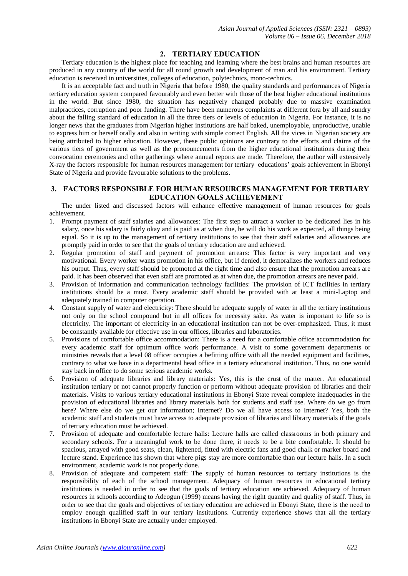# **2. TERTIARY EDUCATION**

Tertiary education is the highest place for teaching and learning where the best brains and human resources are produced in any country of the world for all round growth and development of man and his environment. Tertiary education is received in universities, colleges of education, polytechnics, mono-technics.

It is an acceptable fact and truth in Nigeria that before 1980, the quality standards and performances of Nigeria tertiary education system compared favourably and even better with those of the best higher educational institutions in the world. But since 1980, the situation has negatively changed probably due to massive examination malpractices, corruption and poor funding. There have been numerous complaints at different fora by all and sundry about the falling standard of education in all the three tiers or levels of education in Nigeria. For instance, it is no longer news that the graduates from Nigerian higher institutions are half baked, unemployable, unproductive, unable to express him or herself orally and also in writing with simple correct English. All the vices in Nigerian society are being attributed to higher education. However, these public opinions are contrary to the efforts and claims of the various tiers of government as well as the pronouncements from the higher educational institutions during their convocation ceremonies and other gatherings where annual reports are made. Therefore, the author will extensively X-ray the factors responsible for human resources management for tertiary educations' goals achievement in Ebonyi State of Nigeria and provide favourable solutions to the problems.

# **3. FACTORS RESPONSIBLE FOR HUMAN RESOURCES MANAGEMENT FOR TERTIARY EDUCATION GOALS ACHIEVEMENT**

The under listed and discussed factors will enhance effective management of human resources for goals achievement.

- 1. Prompt payment of staff salaries and allowances: The first step to attract a worker to be dedicated lies in his salary, once his salary is fairly okay and is paid as at when due, he will do his work as expected, all things being equal. So it is up to the management of tertiary institutions to see that their staff salaries and allowances are promptly paid in order to see that the goals of tertiary education are and achieved.
- 2. Regular promotion of staff and payment of promotion arrears: This factor is very important and very motivational. Every worker wants promotion in his office, but if denied, it demoralizes the workers and reduces his output. Thus, every staff should be promoted at the right time and also ensure that the promotion arrears are paid. It has been observed that even staff are promoted as at when due, the promotion arrears are never paid.
- 3. Provision of information and communication technology facilities: The provision of ICT facilities in tertiary institutions should be a must. Every academic staff should be provided with at least a mini-Laptop and adequately trained in computer operation.
- 4. Constant supply of water and electricity: There should be adequate supply of water in all the tertiary institutions not only on the school compound but in all offices for necessity sake. As water is important to life so is electricity. The important of electricity in an educational institution can not be over-emphasized. Thus, it must be constantly available for effective use in our offices, libraries and laboratories.
- 5. Provisions of comfortable office accommodation: There is a need for a comfortable office accommodation for every academic staff for optimum office work performance. A visit to some government departments or ministries reveals that a level 08 officer occupies a befitting office with all the needed equipment and facilities, contrary to what we have in a departmental head office in a tertiary educational institution. Thus, no one would stay back in office to do some serious academic works.
- 6. Provision of adequate libraries and library materials: Yes, this is the crust of the matter. An educational institution tertiary or not cannot properly function or perform without adequate provision of libraries and their materials. Visits to various tertiary educational institutions in Ebonyi State reveal complete inadequacies in the provision of educational libraries and library materials both for students and staff use. Where do we go from here? Where else do we get our information; Internet? Do we all have access to Internet? Yes, both the academic staff and students must have access to adequate provision of libraries and library materials if the goals of tertiary education must be achieved.
- 7. Provision of adequate and comfortable lecture halls: Lecture halls are called classrooms in both primary and secondary schools. For a meaningful work to be done there, it needs to be a bite comfortable. It should be spacious, arrayed with good seats, clean, lightened, fitted with electric fans and good chalk or marker board and lecture stand. Experience has shown that where pigs stay are more comfortable than our lecture halls. In a such environment, academic work is not properly done.
- 8. Provision of adequate and competent staff: The supply of human resources to tertiary institutions is the responsibility of each of the school management. Adequacy of human resources in educational tertiary institutions is needed in order to see that the goals of tertiary education are achieved. Adequacy of human resources in schools according to Adeogun (1999) means having the right quantity and quality of staff. Thus, in order to see that the goals and objectives of tertiary education are achieved in Ebonyi State, there is the need to employ enough qualified staff in our tertiary institutions. Currently experience shows that all the tertiary institutions in Ebonyi State are actually under employed.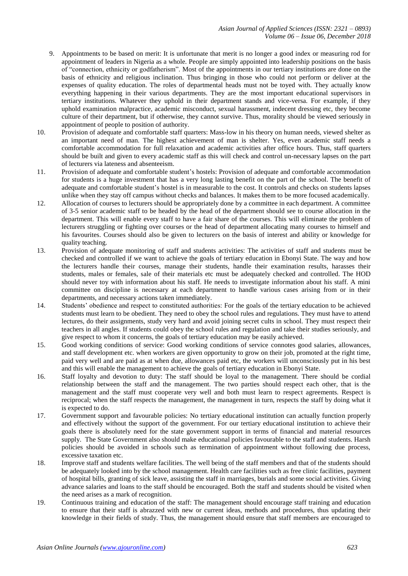- 9. Appointments to be based on merit: It is unfortunate that merit is no longer a good index or measuring rod for appointment of leaders in Nigeria as a whole. People are simply appointed into leadership positions on the basis of "connection, ethnicity or godfatherism". Most of the appointments in our tertiary institutions are done on the basis of ethnicity and religious inclination. Thus bringing in those who could not perform or deliver at the expenses of quality education. The roles of departmental heads must not be toyed with. They actually know everything happening in their various departments. They are the most important educational supervisors in tertiary institutions. Whatever they uphold in their department stands and vice-versa. For example, if they uphold examination malpractice, academic misconduct, sexual harassment, indecent dressing etc, they become culture of their department, but if otherwise, they cannot survive. Thus, morality should be viewed seriously in appointment of people to position of authority.
- 10. Provision of adequate and comfortable staff quarters: Mass-low in his theory on human needs, viewed shelter as an important need of man. The highest achievement of man is shelter. Yes, even academic staff needs a comfortable accommodation for full relaxation and academic activities after office hours. Thus, staff quarters should be built and given to every academic staff as this will check and control un-necessary lapses on the part of lecturers via lateness and absenteeism.
- 11. Provision of adequate and comfortable student's hostels: Provision of adequate and comfortable accommodation for students is a huge investment that has a very long lasting benefit on the part of the school. The benefit of adequate and comfortable student's hostel is in measurable to the cost. It controls and checks on students lapses unlike when they stay off campus without checks and balances. It makes them to be more focused academically.
- 12. Allocation of courses to lecturers should be appropriately done by a committee in each department. A committee of 3-5 senior academic staff to be headed by the head of the department should see to course allocation in the department. This will enable every staff to have a fair share of the courses. This will eliminate the problem of lecturers struggling or fighting over courses or the head of department allocating many courses to himself and his favourites. Courses should also be given to lecturers on the basis of interest and ability or knowledge for quality teaching.
- 13. Provision of adequate monitoring of staff and students activities: The activities of staff and students must be checked and controlled if we want to achieve the goals of tertiary education in Ebonyi State. The way and how the lecturers handle their courses, manage their students, handle their examination results, harasses their students, males or females, sale of their materials etc must be adequately checked and controlled. The HOD should never toy with information about his staff. He needs to investigate information about his staff. A mini committee on discipline is necessary at each department to handle various cases arising from or in their departments, and necessary actions taken immediately.
- 14. Students' obedience and respect to constituted authorities: For the goals of the tertiary education to be achieved students must learn to be obedient. They need to obey the school rules and regulations. They must have to attend lectures, do their assignments, study very hard and avoid joining secret cults in school. They must respect their teachers in all angles. If students could obey the school rules and regulation and take their studies seriously, and give respect to whom it concerns, the goals of tertiary education may be easily achieved.
- 15. Good working conditions of service: Good working conditions of service connotes good salaries, allowances, and staff development etc. when workers are given opportunity to grow on their job, promoted at the right time, paid very well and are paid as at when due, allowances paid etc, the workers will unconsciously put in his best and this will enable the management to achieve the goals of tertiary education in Ebonyi State.
- 16. Staff loyalty and devotion to duty: The staff should be loyal to the management. There should be cordial relationship between the staff and the management. The two parties should respect each other, that is the management and the staff must cooperate very well and both must learn to respect agreements. Respect is reciprocal; when the staff respects the management, the management in turn, respects the staff by doing what it is expected to do.
- 17. Government support and favourable policies: No tertiary educational institution can actually function properly and effectively without the support of the government. For our tertiary educational institution to achieve their goals there is absolutely need for the state government support in terms of financial and material resources supply. The State Government also should make educational policies favourable to the staff and students. Harsh policies should be avoided in schools such as termination of appointment without following due process, excessive taxation etc.
- 18. Improve staff and students welfare facilities. The well being of the staff members and that of the students should be adequately looked into by the school management. Health care facilities such as free clinic facilities, payment of hospital bills, granting of sick leave, assisting the staff in marriages, burials and some social activities. Giving advance salaries and loans to the staff should be encouraged. Both the staff and students should be visited when the need arises as a mark of recognition.
- 19. Continuous training and education of the staff: The management should encourage staff training and education to ensure that their staff is abrazzed with new or current ideas, methods and procedures, thus updating their knowledge in their fields of study. Thus, the management should ensure that staff members are encouraged to